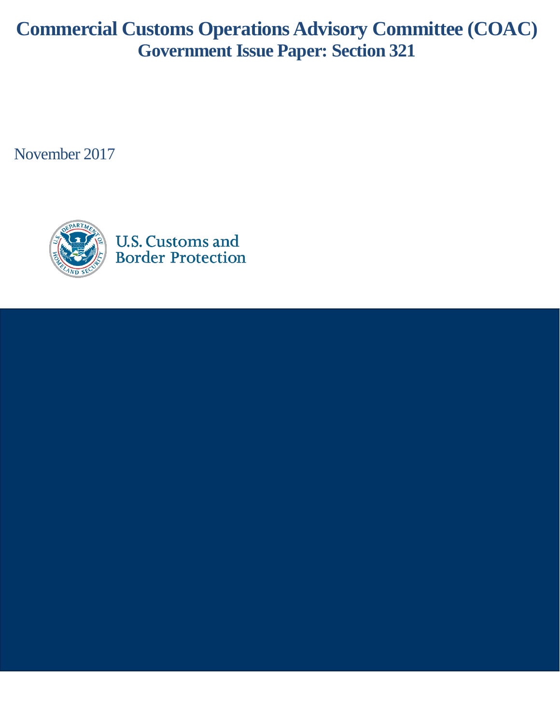# **Commercial Customs Operations Advisory Committee (COAC) Government Issue Paper: Section 321**

November 2017

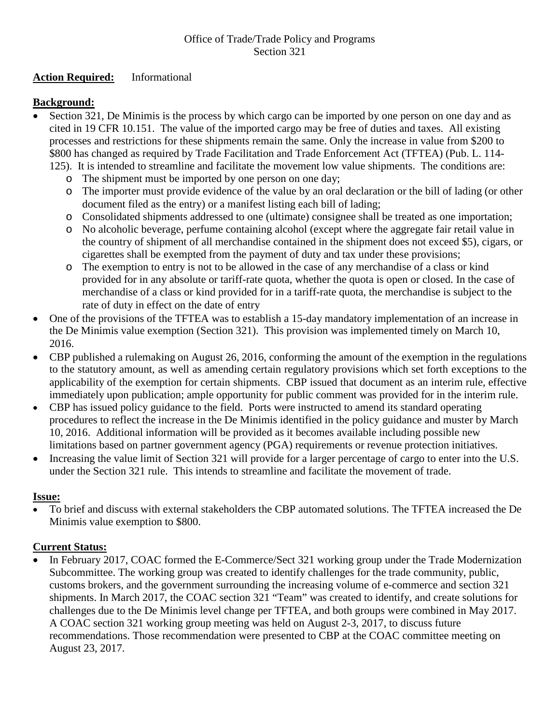## Office of Trade/Trade Policy and Programs Section 321

## **Action Required:** Informational

## **Background:**

- Section 321, De Minimis is the process by which cargo can be imported by one person on one day and as cited in 19 CFR 10.151. The value of the imported cargo may be free of duties and taxes. All existing processes and restrictions for these shipments remain the same. Only the increase in value from \$200 to \$800 has changed as required by Trade Facilitation and Trade Enforcement Act (TFTEA) (Pub. L. 114-
	- 125). It is intended to streamline and facilitate the movement low value shipments. The conditions are: o The shipment must be imported by one person on one day;
		- o The importer must provide evidence of the value by an oral declaration or the bill of lading (or other
		- document filed as the entry) or a manifest listing each bill of lading;
		- o Consolidated shipments addressed to one (ultimate) consignee shall be treated as one importation;
		- o No alcoholic beverage, perfume containing alcohol (except where the aggregate fair retail value in the country of shipment of all merchandise contained in the shipment does not exceed \$5), cigars, or cigarettes shall be exempted from the payment of duty and tax under these provisions;
		- o The exemption to entry is not to be allowed in the case of any merchandise of a class or kind provided for in any absolute or tariff-rate quota, whether the quota is open or closed. In the case of merchandise of a class or kind provided for in a tariff-rate quota, the merchandise is subject to the rate of duty in effect on the date of entry
- One of the provisions of the TFTEA was to establish a 15-day mandatory implementation of an increase in the De Minimis value exemption (Section 321). This provision was implemented timely on March 10, 2016.
- CBP published a rulemaking on August 26, 2016, conforming the amount of the exemption in the regulations to the statutory amount, as well as amending certain regulatory provisions which set forth exceptions to the applicability of the exemption for certain shipments. CBP issued that document as an interim rule, effective immediately upon publication; ample opportunity for public comment was provided for in the interim rule.
- CBP has issued policy guidance to the field. Ports were instructed to amend its standard operating procedures to reflect the increase in the De Minimis identified in the policy guidance and muster by March 10, 2016. Additional information will be provided as it becomes available including possible new limitations based on partner government agency (PGA) requirements or revenue protection initiatives.
- Increasing the value limit of Section 321 will provide for a larger percentage of cargo to enter into the U.S. under the Section 321 rule. This intends to streamline and facilitate the movement of trade.

### **Issue:**

• To brief and discuss with external stakeholders the CBP automated solutions. The TFTEA increased the De Minimis value exemption to \$800.

### **Current Status:**

In February 2017, COAC formed the E-Commerce/Sect 321 working group under the Trade Modernization Subcommittee. The working group was created to identify challenges for the trade community, public, customs brokers, and the government surrounding the increasing volume of e-commerce and section 321 shipments. In March 2017, the COAC section 321 "Team" was created to identify, and create solutions for challenges due to the De Minimis level change per TFTEA, and both groups were combined in May 2017. A COAC section 321 working group meeting was held on August 2-3, 2017, to discuss future recommendations. Those recommendation were presented to CBP at the COAC committee meeting on August 23, 2017.